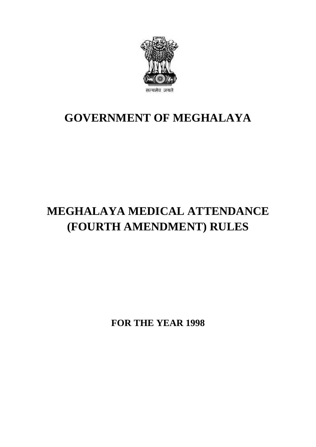

## **GOVERNMENT OF MEGHALAYA**

# **MEGHALAYA MEDICAL ATTENDANCE (FOURTH AMENDMENT) RULES**

**FOR THE YEAR 1998**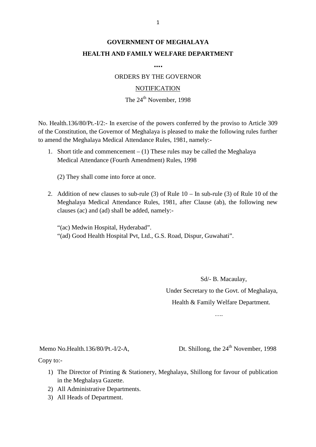### **GOVERNMENT OF MEGHALAYA HEALTH AND FAMILY WELFARE DEPARTMENT**

**….**

ORDERS BY THE GOVERNOR

#### **NOTIFICATION**

#### The 24<sup>th</sup> November, 1998

NOTIFICATION<br>The 24<sup>th</sup> November, 1998<br>No. Health.136/80/Pt.-I/2:- In exercise of the powers conferred by the proviso to Article 309<br>of the Constitution, the Governor of Meghalaya is pleased to make the following rules fur to amend the Meghalaya Medical Attendance Rules, 1981, namely:- Health.136/80/Pt.-I/2:- In exercise of the powers conferred by the proviso to Article 309<br>he Constitution, the Governor of Meghalaya is pleased to make the following rules further<br>mend the Meghalaya Medical Attendance Rule

Medical Attendance (Fourth Amendment) Rules, 1998 1. Short title and commencement – (1) These rules may be called the Meghalaya<br>Medical Attendance (Fourth Amendment) Rules, 1998<br>(2) They shall come into force at once.<br>2. Addition of new clauses to sub-rule (3) of Rule 10

Medical Attendance (Fourth Amendment) Rules, 1998<br>
(2) They shall come into force at once.<br>
2. Addition of new clauses to sub-rule (3) of Rule 10 – In sub-rule (3) of Rule 10 of the<br>
Meghalaya Medical Attendance Rules, 198 clauses (ac) and (ad) shall be added, namely:-

"(ac) Medwin Hospital, Hyderabad". "(ad) Good Health Hospital Pvt, Ltd., G.S. Road, Dispur, Guwahati".

Sd/- B. Macaulay, Under Secretary to the Govt. of Meghalaya, Sd/- B. Macaulay,<br>
nder Secretary to the Govt. of Meghalaya,<br>
Health & Family Welfare Department.<br>
….

....<br>Memo No.Health.136/80/Pt.-I/2-A, Dt. Shillong, the 24<sup>th</sup> November, 1998<br>Copy to:-

Copy to:-

- 1) The Director of Printing & Stationery, Meghalaya, Shillong for favour of publication<br>
1) The Director of Printing & Stationery, Meghalaya, Shillong for favour of publication<br>
in the Meghalaya Gazette. in the Meghalaya Gazette. 2) All Administrative Departments.<br>
2) All Administrative Departments.<br>
2) All Administrative Departments. by to:-<br>
1) The Director of Printing<br>
in the Meghalaya Gazette<br>
2) All Administrative Depart<br>
3) All Heads of Department.
- 
-